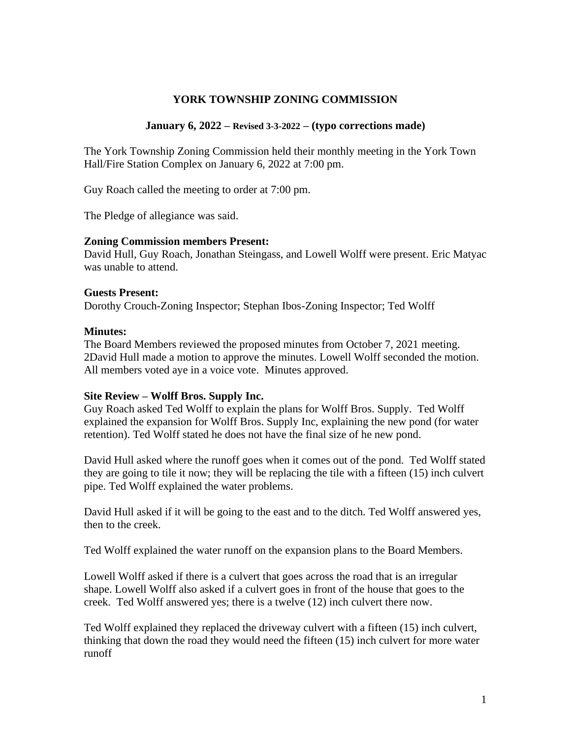# **YORK TOWNSHIP ZONING COMMISSION**

#### **January 6, 2022 – Revised 3-3-2022 – (typo corrections made)**

The York Township Zoning Commission held their monthly meeting in the York Town Hall/Fire Station Complex on January 6, 2022 at 7:00 pm.

Guy Roach called the meeting to order at 7:00 pm.

The Pledge of allegiance was said.

#### **Zoning Commission members Present:**

David Hull, Guy Roach, Jonathan Steingass, and Lowell Wolff were present. Eric Matyac was unable to attend.

#### **Guests Present:**

Dorothy Crouch-Zoning Inspector; Stephan Ibos-Zoning Inspector; Ted Wolff

#### **Minutes:**

The Board Members reviewed the proposed minutes from October 7, 2021 meeting. 2David Hull made a motion to approve the minutes. Lowell Wolff seconded the motion. All members voted aye in a voice vote. Minutes approved.

### **Site Review – Wolff Bros. Supply Inc.**

Guy Roach asked Ted Wolff to explain the plans for Wolff Bros. Supply. Ted Wolff explained the expansion for Wolff Bros. Supply Inc, explaining the new pond (for water retention). Ted Wolff stated he does not have the final size of he new pond.

David Hull asked where the runoff goes when it comes out of the pond. Ted Wolff stated they are going to tile it now; they will be replacing the tile with a fifteen (15) inch culvert pipe. Ted Wolff explained the water problems.

David Hull asked if it will be going to the east and to the ditch. Ted Wolff answered yes, then to the creek.

Ted Wolff explained the water runoff on the expansion plans to the Board Members.

Lowell Wolff asked if there is a culvert that goes across the road that is an irregular shape. Lowell Wolff also asked if a culvert goes in front of the house that goes to the creek. Ted Wolff answered yes; there is a twelve (12) inch culvert there now.

Ted Wolff explained they replaced the driveway culvert with a fifteen (15) inch culvert, thinking that down the road they would need the fifteen (15) inch culvert for more water runoff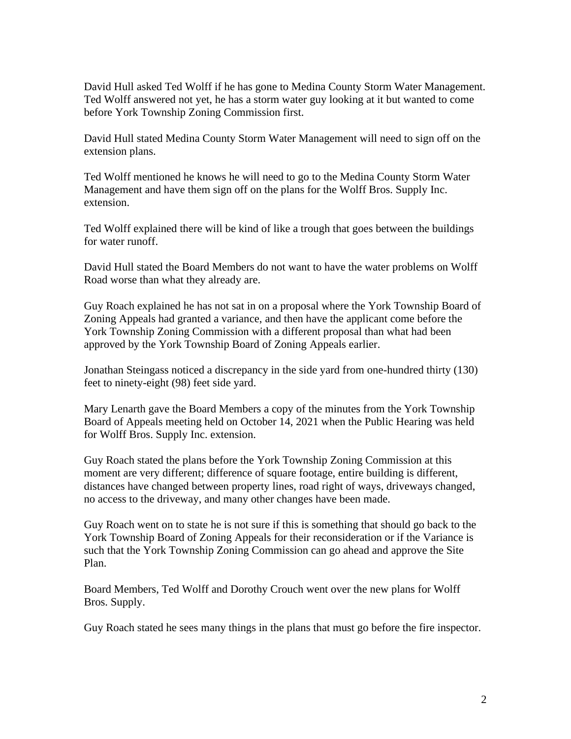David Hull asked Ted Wolff if he has gone to Medina County Storm Water Management. Ted Wolff answered not yet, he has a storm water guy looking at it but wanted to come before York Township Zoning Commission first.

David Hull stated Medina County Storm Water Management will need to sign off on the extension plans.

Ted Wolff mentioned he knows he will need to go to the Medina County Storm Water Management and have them sign off on the plans for the Wolff Bros. Supply Inc. extension.

Ted Wolff explained there will be kind of like a trough that goes between the buildings for water runoff.

David Hull stated the Board Members do not want to have the water problems on Wolff Road worse than what they already are.

Guy Roach explained he has not sat in on a proposal where the York Township Board of Zoning Appeals had granted a variance, and then have the applicant come before the York Township Zoning Commission with a different proposal than what had been approved by the York Township Board of Zoning Appeals earlier.

Jonathan Steingass noticed a discrepancy in the side yard from one-hundred thirty (130) feet to ninety-eight (98) feet side yard.

Mary Lenarth gave the Board Members a copy of the minutes from the York Township Board of Appeals meeting held on October 14, 2021 when the Public Hearing was held for Wolff Bros. Supply Inc. extension.

Guy Roach stated the plans before the York Township Zoning Commission at this moment are very different; difference of square footage, entire building is different, distances have changed between property lines, road right of ways, driveways changed, no access to the driveway, and many other changes have been made.

Guy Roach went on to state he is not sure if this is something that should go back to the York Township Board of Zoning Appeals for their reconsideration or if the Variance is such that the York Township Zoning Commission can go ahead and approve the Site Plan.

Board Members, Ted Wolff and Dorothy Crouch went over the new plans for Wolff Bros. Supply.

Guy Roach stated he sees many things in the plans that must go before the fire inspector.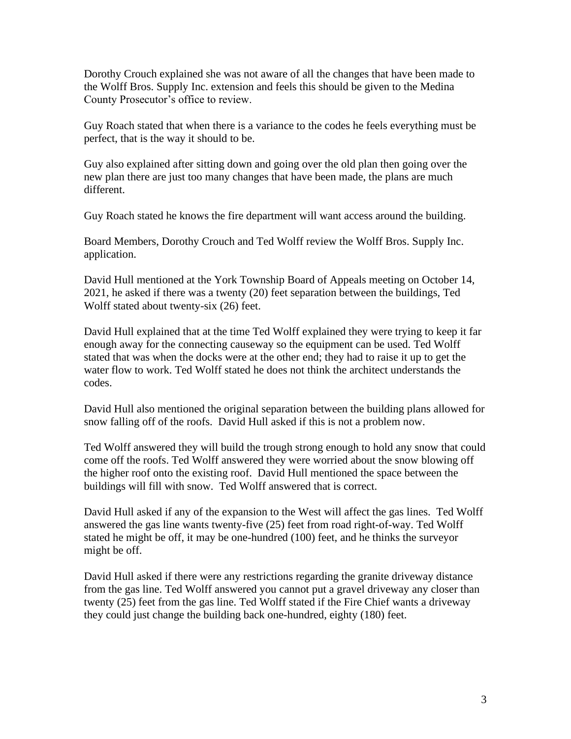Dorothy Crouch explained she was not aware of all the changes that have been made to the Wolff Bros. Supply Inc. extension and feels this should be given to the Medina County Prosecutor's office to review.

Guy Roach stated that when there is a variance to the codes he feels everything must be perfect, that is the way it should to be.

Guy also explained after sitting down and going over the old plan then going over the new plan there are just too many changes that have been made, the plans are much different.

Guy Roach stated he knows the fire department will want access around the building.

Board Members, Dorothy Crouch and Ted Wolff review the Wolff Bros. Supply Inc. application.

David Hull mentioned at the York Township Board of Appeals meeting on October 14, 2021, he asked if there was a twenty (20) feet separation between the buildings, Ted Wolff stated about twenty-six (26) feet.

David Hull explained that at the time Ted Wolff explained they were trying to keep it far enough away for the connecting causeway so the equipment can be used. Ted Wolff stated that was when the docks were at the other end; they had to raise it up to get the water flow to work. Ted Wolff stated he does not think the architect understands the codes.

David Hull also mentioned the original separation between the building plans allowed for snow falling off of the roofs. David Hull asked if this is not a problem now.

Ted Wolff answered they will build the trough strong enough to hold any snow that could come off the roofs. Ted Wolff answered they were worried about the snow blowing off the higher roof onto the existing roof. David Hull mentioned the space between the buildings will fill with snow. Ted Wolff answered that is correct.

David Hull asked if any of the expansion to the West will affect the gas lines. Ted Wolff answered the gas line wants twenty-five (25) feet from road right-of-way. Ted Wolff stated he might be off, it may be one-hundred (100) feet, and he thinks the surveyor might be off.

David Hull asked if there were any restrictions regarding the granite driveway distance from the gas line. Ted Wolff answered you cannot put a gravel driveway any closer than twenty (25) feet from the gas line. Ted Wolff stated if the Fire Chief wants a driveway they could just change the building back one-hundred, eighty (180) feet.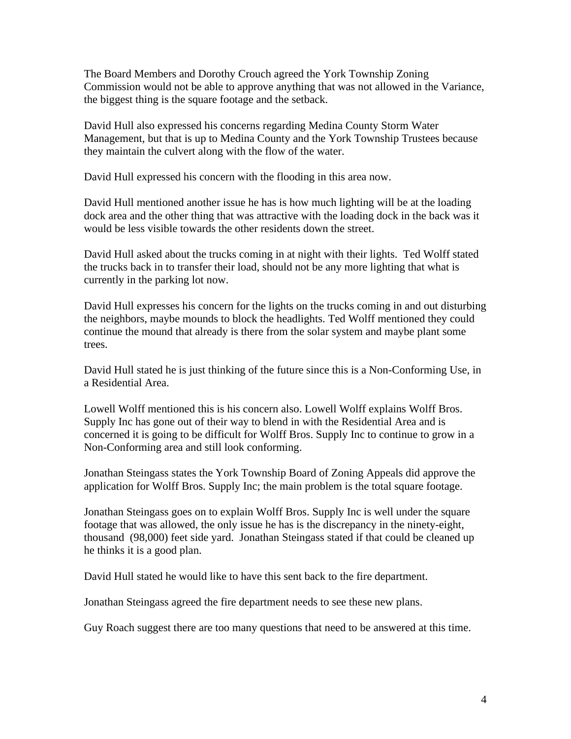The Board Members and Dorothy Crouch agreed the York Township Zoning Commission would not be able to approve anything that was not allowed in the Variance, the biggest thing is the square footage and the setback.

David Hull also expressed his concerns regarding Medina County Storm Water Management, but that is up to Medina County and the York Township Trustees because they maintain the culvert along with the flow of the water.

David Hull expressed his concern with the flooding in this area now.

David Hull mentioned another issue he has is how much lighting will be at the loading dock area and the other thing that was attractive with the loading dock in the back was it would be less visible towards the other residents down the street.

David Hull asked about the trucks coming in at night with their lights. Ted Wolff stated the trucks back in to transfer their load, should not be any more lighting that what is currently in the parking lot now.

David Hull expresses his concern for the lights on the trucks coming in and out disturbing the neighbors, maybe mounds to block the headlights. Ted Wolff mentioned they could continue the mound that already is there from the solar system and maybe plant some trees.

David Hull stated he is just thinking of the future since this is a Non-Conforming Use, in a Residential Area.

Lowell Wolff mentioned this is his concern also. Lowell Wolff explains Wolff Bros. Supply Inc has gone out of their way to blend in with the Residential Area and is concerned it is going to be difficult for Wolff Bros. Supply Inc to continue to grow in a Non-Conforming area and still look conforming.

Jonathan Steingass states the York Township Board of Zoning Appeals did approve the application for Wolff Bros. Supply Inc; the main problem is the total square footage.

Jonathan Steingass goes on to explain Wolff Bros. Supply Inc is well under the square footage that was allowed, the only issue he has is the discrepancy in the ninety-eight, thousand (98,000) feet side yard. Jonathan Steingass stated if that could be cleaned up he thinks it is a good plan.

David Hull stated he would like to have this sent back to the fire department.

Jonathan Steingass agreed the fire department needs to see these new plans.

Guy Roach suggest there are too many questions that need to be answered at this time.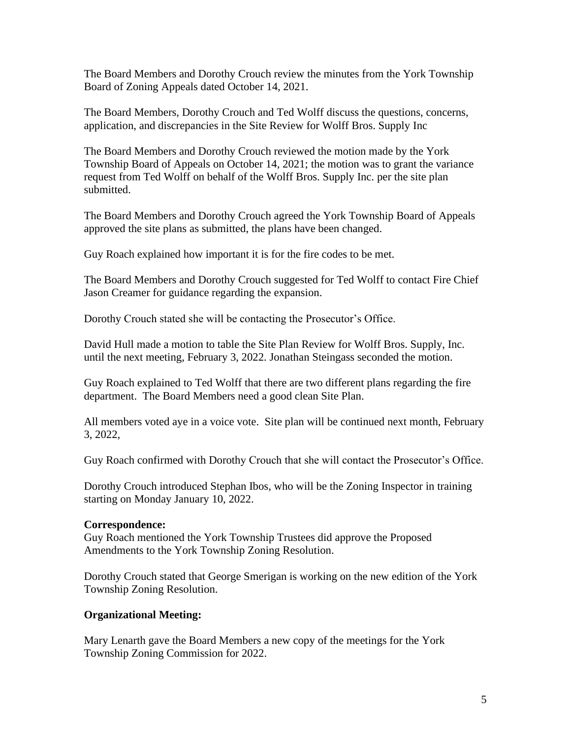The Board Members and Dorothy Crouch review the minutes from the York Township Board of Zoning Appeals dated October 14, 2021.

The Board Members, Dorothy Crouch and Ted Wolff discuss the questions, concerns, application, and discrepancies in the Site Review for Wolff Bros. Supply Inc

The Board Members and Dorothy Crouch reviewed the motion made by the York Township Board of Appeals on October 14, 2021; the motion was to grant the variance request from Ted Wolff on behalf of the Wolff Bros. Supply Inc. per the site plan submitted.

The Board Members and Dorothy Crouch agreed the York Township Board of Appeals approved the site plans as submitted, the plans have been changed.

Guy Roach explained how important it is for the fire codes to be met.

The Board Members and Dorothy Crouch suggested for Ted Wolff to contact Fire Chief Jason Creamer for guidance regarding the expansion.

Dorothy Crouch stated she will be contacting the Prosecutor's Office.

David Hull made a motion to table the Site Plan Review for Wolff Bros. Supply, Inc. until the next meeting, February 3, 2022. Jonathan Steingass seconded the motion.

Guy Roach explained to Ted Wolff that there are two different plans regarding the fire department. The Board Members need a good clean Site Plan.

All members voted aye in a voice vote. Site plan will be continued next month, February 3, 2022,

Guy Roach confirmed with Dorothy Crouch that she will contact the Prosecutor's Office.

Dorothy Crouch introduced Stephan Ibos, who will be the Zoning Inspector in training starting on Monday January 10, 2022.

### **Correspondence:**

Guy Roach mentioned the York Township Trustees did approve the Proposed Amendments to the York Township Zoning Resolution.

Dorothy Crouch stated that George Smerigan is working on the new edition of the York Township Zoning Resolution.

# **Organizational Meeting:**

Mary Lenarth gave the Board Members a new copy of the meetings for the York Township Zoning Commission for 2022.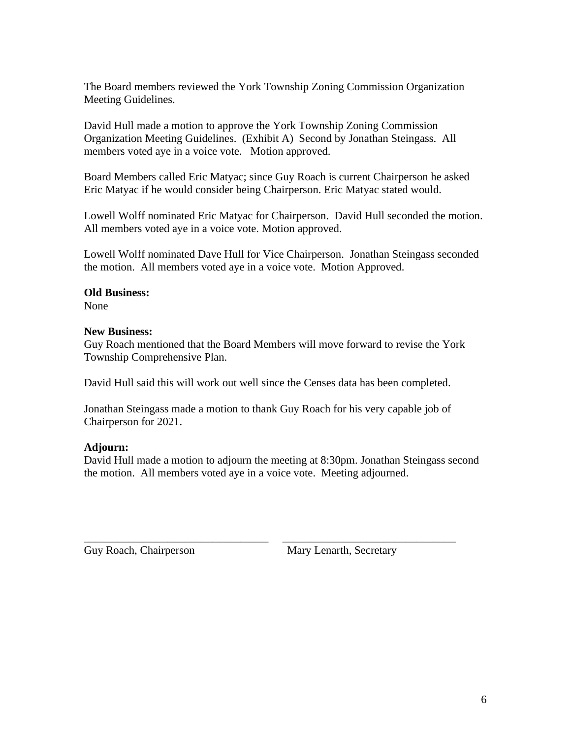The Board members reviewed the York Township Zoning Commission Organization Meeting Guidelines.

David Hull made a motion to approve the York Township Zoning Commission Organization Meeting Guidelines. (Exhibit A) Second by Jonathan Steingass. All members voted aye in a voice vote. Motion approved.

Board Members called Eric Matyac; since Guy Roach is current Chairperson he asked Eric Matyac if he would consider being Chairperson. Eric Matyac stated would.

Lowell Wolff nominated Eric Matyac for Chairperson. David Hull seconded the motion. All members voted aye in a voice vote. Motion approved.

Lowell Wolff nominated Dave Hull for Vice Chairperson. Jonathan Steingass seconded the motion. All members voted aye in a voice vote. Motion Approved.

# **Old Business:**

None

# **New Business:**

Guy Roach mentioned that the Board Members will move forward to revise the York Township Comprehensive Plan.

David Hull said this will work out well since the Censes data has been completed.

Jonathan Steingass made a motion to thank Guy Roach for his very capable job of Chairperson for 2021.

\_\_\_\_\_\_\_\_\_\_\_\_\_\_\_\_\_\_\_\_\_\_\_\_\_\_\_\_\_\_\_\_\_ \_\_\_\_\_\_\_\_\_\_\_\_\_\_\_\_\_\_\_\_\_\_\_\_\_\_\_\_\_\_\_

# **Adjourn:**

David Hull made a motion to adjourn the meeting at 8:30pm. Jonathan Steingass second the motion. All members voted aye in a voice vote. Meeting adjourned.

Guy Roach, Chairperson Mary Lenarth, Secretary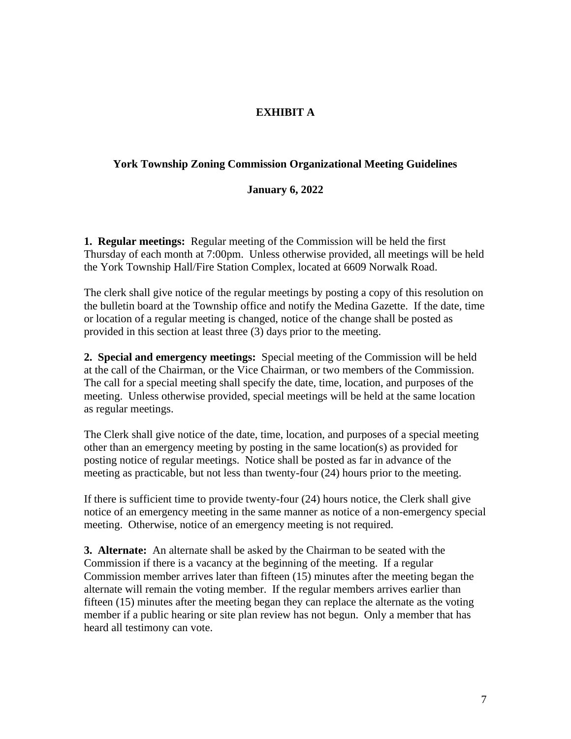# **EXHIBIT A**

### **York Township Zoning Commission Organizational Meeting Guidelines**

#### **January 6, 2022**

**1. Regular meetings:** Regular meeting of the Commission will be held the first Thursday of each month at 7:00pm. Unless otherwise provided, all meetings will be held the York Township Hall/Fire Station Complex, located at 6609 Norwalk Road.

The clerk shall give notice of the regular meetings by posting a copy of this resolution on the bulletin board at the Township office and notify the Medina Gazette. If the date, time or location of a regular meeting is changed, notice of the change shall be posted as provided in this section at least three (3) days prior to the meeting.

**2. Special and emergency meetings:** Special meeting of the Commission will be held at the call of the Chairman, or the Vice Chairman, or two members of the Commission. The call for a special meeting shall specify the date, time, location, and purposes of the meeting. Unless otherwise provided, special meetings will be held at the same location as regular meetings.

The Clerk shall give notice of the date, time, location, and purposes of a special meeting other than an emergency meeting by posting in the same location(s) as provided for posting notice of regular meetings. Notice shall be posted as far in advance of the meeting as practicable, but not less than twenty-four (24) hours prior to the meeting.

If there is sufficient time to provide twenty-four (24) hours notice, the Clerk shall give notice of an emergency meeting in the same manner as notice of a non-emergency special meeting. Otherwise, notice of an emergency meeting is not required.

**3. Alternate:** An alternate shall be asked by the Chairman to be seated with the Commission if there is a vacancy at the beginning of the meeting. If a regular Commission member arrives later than fifteen (15) minutes after the meeting began the alternate will remain the voting member. If the regular members arrives earlier than fifteen (15) minutes after the meeting began they can replace the alternate as the voting member if a public hearing or site plan review has not begun. Only a member that has heard all testimony can vote.